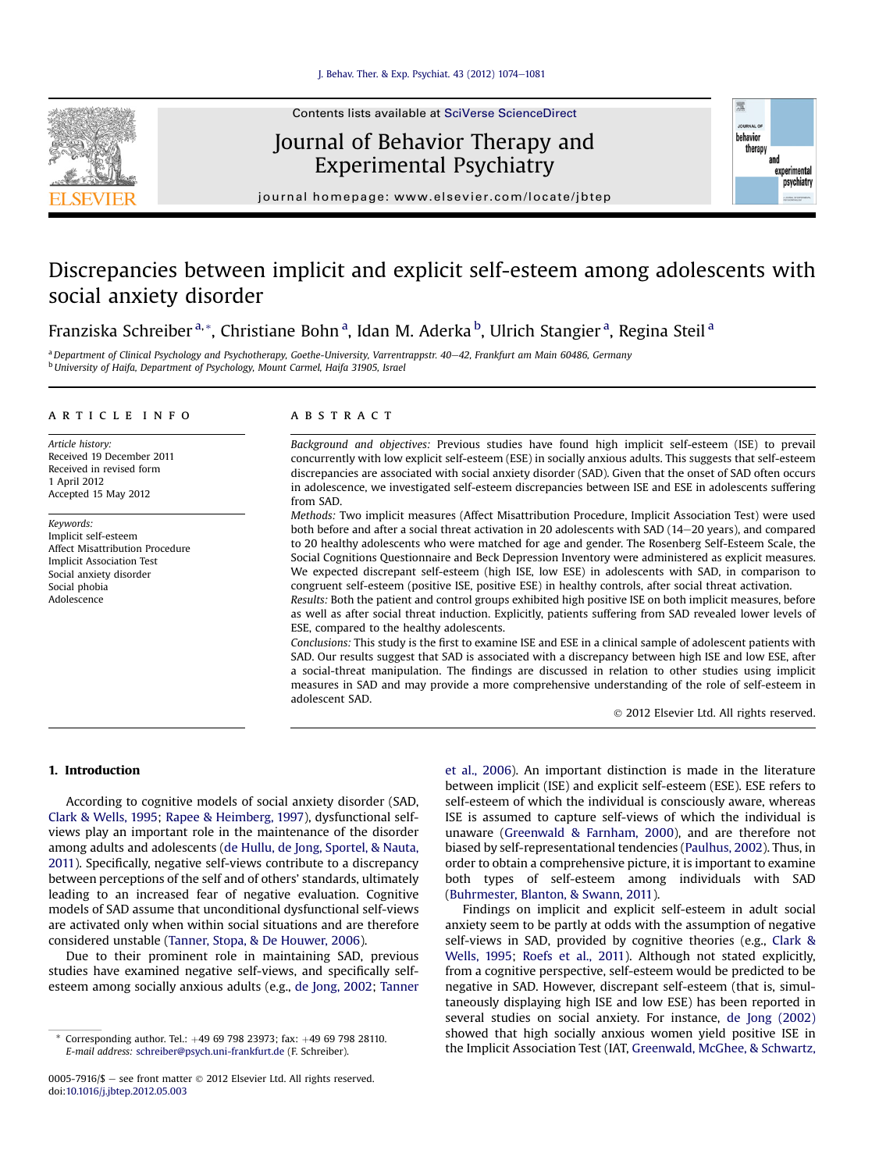

# Journal of Behavior Therapy and Experimental Psychiatry



journal homepage: [www.elsevier.com/locate/jbtep](http://www.elsevier.com/locate/jbtep)

# Discrepancies between implicit and explicit self-esteem among adolescents with social anxiety disorder

Franziska Schreiber <sup>a,</sup>\*, Christiane Bohn <sup>a</sup>, Idan M. Aderka <sup>b</sup>, Ulrich Stangier <sup>a</sup>, Regina Steil <sup>a</sup>

<sup>a</sup> Department of Clinical Psychology and Psychotherapy, Goethe-University, Varrentrappstr. 40–42, Frankfurt am Main 60486, Germany <sup>b</sup> University of Haifa, Department of Psychology, Mount Carmel, Haifa 31905, Israel

#### article info

Article history: Received 19 December 2011 Received in revised form 1 April 2012 Accepted 15 May 2012

Keywords: Implicit self-esteem Affect Misattribution Procedure Implicit Association Test Social anxiety disorder Social phobia Adolescence

### **ABSTRACT**

Background and objectives: Previous studies have found high implicit self-esteem (ISE) to prevail concurrently with low explicit self-esteem (ESE) in socially anxious adults. This suggests that self-esteem discrepancies are associated with social anxiety disorder (SAD). Given that the onset of SAD often occurs in adolescence, we investigated self-esteem discrepancies between ISE and ESE in adolescents suffering from SAD.

Methods: Two implicit measures (Affect Misattribution Procedure, Implicit Association Test) were used both before and after a social threat activation in 20 adolescents with SAD (14-20 years), and compared to 20 healthy adolescents who were matched for age and gender. The Rosenberg Self-Esteem Scale, the Social Cognitions Questionnaire and Beck Depression Inventory were administered as explicit measures. We expected discrepant self-esteem (high ISE, low ESE) in adolescents with SAD, in comparison to congruent self-esteem (positive ISE, positive ESE) in healthy controls, after social threat activation.

Results: Both the patient and control groups exhibited high positive ISE on both implicit measures, before as well as after social threat induction. Explicitly, patients suffering from SAD revealed lower levels of ESE, compared to the healthy adolescents.

Conclusions: This study is the first to examine ISE and ESE in a clinical sample of adolescent patients with SAD. Our results suggest that SAD is associated with a discrepancy between high ISE and low ESE, after a social-threat manipulation. The findings are discussed in relation to other studies using implicit measures in SAD and may provide a more comprehensive understanding of the role of self-esteem in adolescent SAD.

2012 Elsevier Ltd. All rights reserved.

## 1. Introduction

According to cognitive models of social anxiety disorder (SAD, Clark & Wells, 1995; Rapee & Heimberg, 1997), dysfunctional selfviews play an important role in the maintenance of the disorder among adults and adolescents (de Hullu, de Jong, Sportel, & Nauta, 2011). Specifically, negative self-views contribute to a discrepancy between perceptions of the self and of others' standards, ultimately leading to an increased fear of negative evaluation. Cognitive models of SAD assume that unconditional dysfunctional self-views are activated only when within social situations and are therefore considered unstable (Tanner, Stopa, & De Houwer, 2006).

Due to their prominent role in maintaining SAD, previous studies have examined negative self-views, and specifically selfesteem among socially anxious adults (e.g., de Jong, 2002; Tanner et al., 2006). An important distinction is made in the literature between implicit (ISE) and explicit self-esteem (ESE). ESE refers to self-esteem of which the individual is consciously aware, whereas ISE is assumed to capture self-views of which the individual is unaware (Greenwald & Farnham, 2000), and are therefore not biased by self-representational tendencies (Paulhus, 2002). Thus, in order to obtain a comprehensive picture, it is important to examine both types of self-esteem among individuals with SAD (Buhrmester, Blanton, & Swann, 2011).

Findings on implicit and explicit self-esteem in adult social anxiety seem to be partly at odds with the assumption of negative self-views in SAD, provided by cognitive theories (e.g., Clark & Wells, 1995; Roefs et al., 2011). Although not stated explicitly, from a cognitive perspective, self-esteem would be predicted to be negative in SAD. However, discrepant self-esteem (that is, simultaneously displaying high ISE and low ESE) has been reported in several studies on social anxiety. For instance, de Jong (2002) showed that high socially anxious women yield positive ISE in the Implicit Association Test (IAT, Greenwald, McGhee, & Schwartz, Formal address: schreiber@psych uni-frankfurt de (F Schreiber) the Implicit Association Test (IAT, Greenwald, McGhee, & Schwartz,

E-mail address: [schreiber@psych.uni-frankfurt.de](mailto:schreiber@psych.uni-frankfurt.de) (F. Schreiber).

<sup>0005-7916/\$ -</sup> see front matter  $\odot$  2012 Elsevier Ltd. All rights reserved. doi:[10.1016/j.jbtep.2012.05.003](http://dx.doi.org/10.1016/j.jbtep.2012.05.003)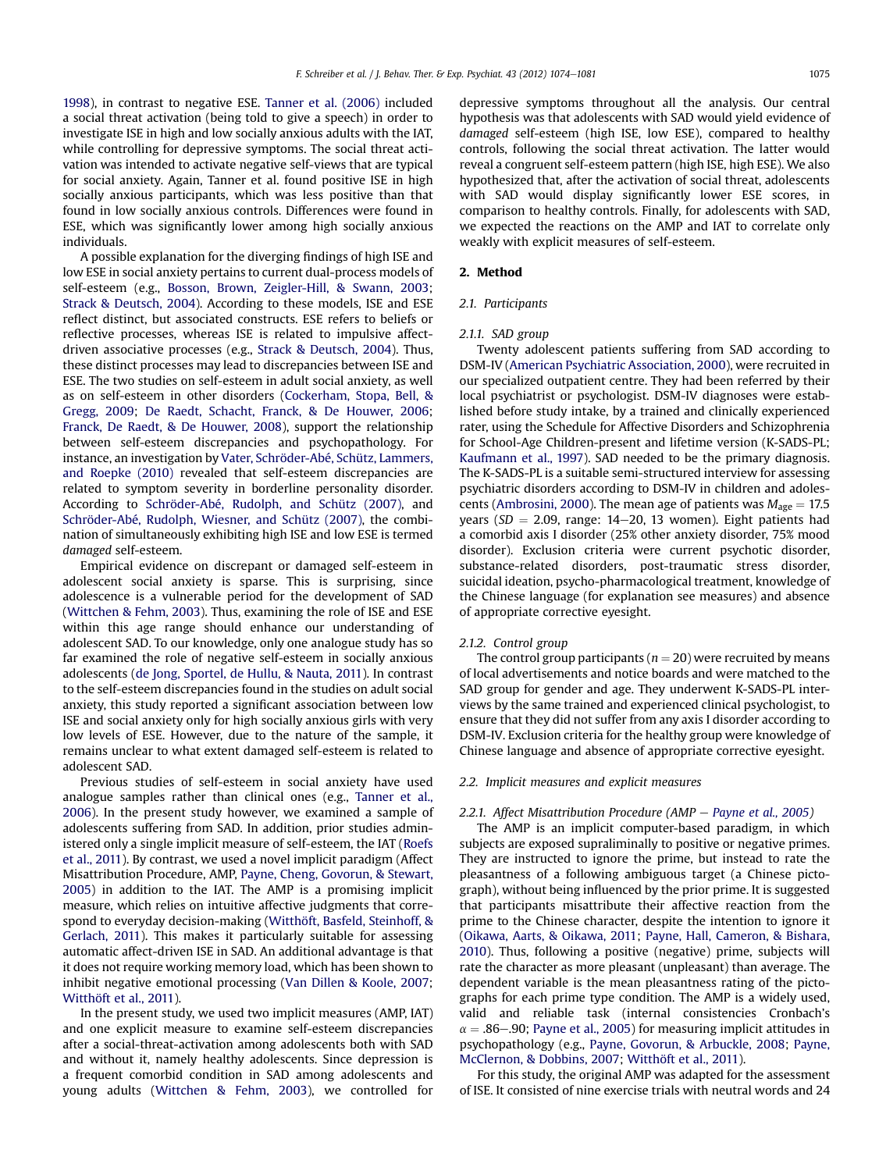1998), in contrast to negative ESE. Tanner et al. (2006) included a social threat activation (being told to give a speech) in order to investigate ISE in high and low socially anxious adults with the IAT, while controlling for depressive symptoms. The social threat activation was intended to activate negative self-views that are typical for social anxiety. Again, Tanner et al. found positive ISE in high socially anxious participants, which was less positive than that found in low socially anxious controls. Differences were found in ESE, which was significantly lower among high socially anxious individuals.

A possible explanation for the diverging findings of high ISE and low ESE in social anxiety pertains to current dual-process models of self-esteem (e.g., Bosson, Brown, Zeigler-Hill, & Swann, 2003; Strack & Deutsch, 2004). According to these models, ISE and ESE reflect distinct, but associated constructs. ESE refers to beliefs or reflective processes, whereas ISE is related to impulsive affectdriven associative processes (e.g., Strack & Deutsch, 2004). Thus, these distinct processes may lead to discrepancies between ISE and ESE. The two studies on self-esteem in adult social anxiety, as well as on self-esteem in other disorders (Cockerham, Stopa, Bell, & Gregg, 2009; De Raedt, Schacht, Franck, & De Houwer, 2006; Franck, De Raedt, & De Houwer, 2008), support the relationship between self-esteem discrepancies and psychopathology. For instance, an investigation by Vater, Schröder-Abé, Schütz, Lammers, and Roepke (2010) revealed that self-esteem discrepancies are related to symptom severity in borderline personality disorder. According to Schröder-Abé, Rudolph, and Schütz (2007), and Schröder-Abé, Rudolph, Wiesner, and Schütz (2007), the combination of simultaneously exhibiting high ISE and low ESE is termed damaged self-esteem.

Empirical evidence on discrepant or damaged self-esteem in adolescent social anxiety is sparse. This is surprising, since adolescence is a vulnerable period for the development of SAD (Wittchen & Fehm, 2003). Thus, examining the role of ISE and ESE within this age range should enhance our understanding of adolescent SAD. To our knowledge, only one analogue study has so far examined the role of negative self-esteem in socially anxious adolescents (de Jong, Sportel, de Hullu, & Nauta, 2011). In contrast to the self-esteem discrepancies found in the studies on adult social anxiety, this study reported a significant association between low ISE and social anxiety only for high socially anxious girls with very low levels of ESE. However, due to the nature of the sample, it remains unclear to what extent damaged self-esteem is related to adolescent SAD.

Previous studies of self-esteem in social anxiety have used analogue samples rather than clinical ones (e.g., Tanner et al., 2006). In the present study however, we examined a sample of adolescents suffering from SAD. In addition, prior studies administered only a single implicit measure of self-esteem, the IAT (Roefs et al., 2011). By contrast, we used a novel implicit paradigm (Affect Misattribution Procedure, AMP, Payne, Cheng, Govorun, & Stewart, 2005) in addition to the IAT. The AMP is a promising implicit measure, which relies on intuitive affective judgments that correspond to everyday decision-making (Witthöft, Basfeld, Steinhoff, & Gerlach, 2011). This makes it particularly suitable for assessing automatic affect-driven ISE in SAD. An additional advantage is that it does not require working memory load, which has been shown to inhibit negative emotional processing (Van Dillen & Koole, 2007; Witthöft et al., 2011).

In the present study, we used two implicit measures (AMP, IAT) and one explicit measure to examine self-esteem discrepancies after a social-threat-activation among adolescents both with SAD and without it, namely healthy adolescents. Since depression is a frequent comorbid condition in SAD among adolescents and young adults (Wittchen & Fehm, 2003), we controlled for depressive symptoms throughout all the analysis. Our central hypothesis was that adolescents with SAD would yield evidence of damaged self-esteem (high ISE, low ESE), compared to healthy controls, following the social threat activation. The latter would reveal a congruent self-esteem pattern (high ISE, high ESE). We also hypothesized that, after the activation of social threat, adolescents with SAD would display significantly lower ESE scores, in comparison to healthy controls. Finally, for adolescents with SAD, we expected the reactions on the AMP and IAT to correlate only weakly with explicit measures of self-esteem.

#### 2. Method

#### 2.1. Participants

#### 2.1.1. SAD group

Twenty adolescent patients suffering from SAD according to DSM-IV (American Psychiatric Association, 2000), were recruited in our specialized outpatient centre. They had been referred by their local psychiatrist or psychologist. DSM-IV diagnoses were established before study intake, by a trained and clinically experienced rater, using the Schedule for Affective Disorders and Schizophrenia for School-Age Children-present and lifetime version (K-SADS-PL; Kaufmann et al., 1997). SAD needed to be the primary diagnosis. The K-SADS-PL is a suitable semi-structured interview for assessing psychiatric disorders according to DSM-IV in children and adolescents (Ambrosini, 2000). The mean age of patients was  $M_{\text{age}} = 17.5$ years ( $SD = 2.09$ , range: 14-20, 13 women). Eight patients had a comorbid axis I disorder (25% other anxiety disorder, 75% mood disorder). Exclusion criteria were current psychotic disorder, substance-related disorders, post-traumatic stress disorder, suicidal ideation, psycho-pharmacological treatment, knowledge of the Chinese language (for explanation see measures) and absence of appropriate corrective eyesight.

#### 2.1.2. Control group

The control group participants ( $n = 20$ ) were recruited by means of local advertisements and notice boards and were matched to the SAD group for gender and age. They underwent K-SADS-PL interviews by the same trained and experienced clinical psychologist, to ensure that they did not suffer from any axis I disorder according to DSM-IV. Exclusion criteria for the healthy group were knowledge of Chinese language and absence of appropriate corrective eyesight.

#### 2.2. Implicit measures and explicit measures

### 2.2.1. Affect Misattribution Procedure (AMP  $-$  Payne et al., 2005)

The AMP is an implicit computer-based paradigm, in which subjects are exposed supraliminally to positive or negative primes. They are instructed to ignore the prime, but instead to rate the pleasantness of a following ambiguous target (a Chinese pictograph), without being influenced by the prior prime. It is suggested that participants misattribute their affective reaction from the prime to the Chinese character, despite the intention to ignore it (Oikawa, Aarts, & Oikawa, 2011; Payne, Hall, Cameron, & Bishara, 2010). Thus, following a positive (negative) prime, subjects will rate the character as more pleasant (unpleasant) than average. The dependent variable is the mean pleasantness rating of the pictographs for each prime type condition. The AMP is a widely used, valid and reliable task (internal consistencies Cronbach's  $\alpha = .86-.90$ ; Payne et al., 2005) for measuring implicit attitudes in psychopathology (e.g., Payne, Govorun, & Arbuckle, 2008; Payne, McClernon, & Dobbins, 2007; Witthöft et al., 2011).

For this study, the original AMP was adapted for the assessment of ISE. It consisted of nine exercise trials with neutral words and 24